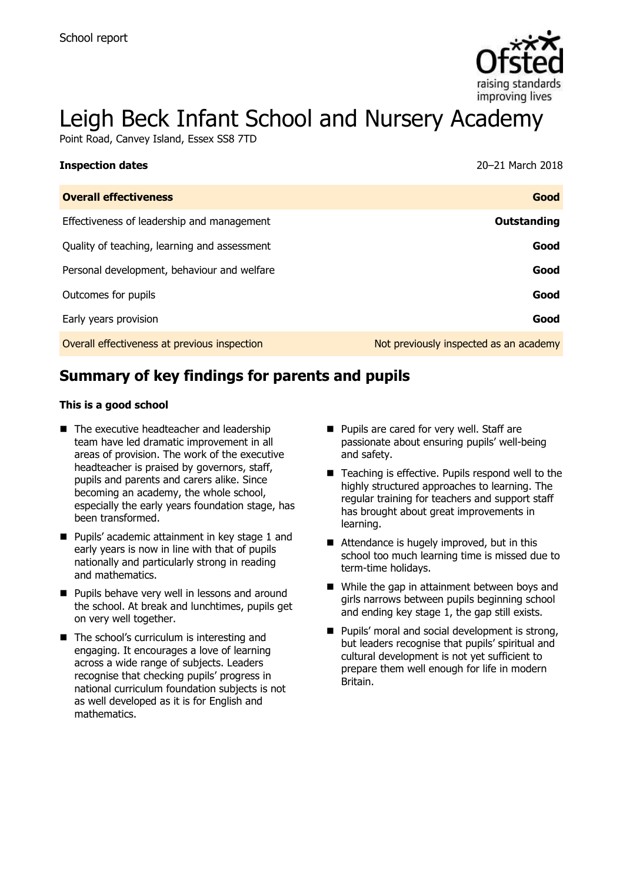

# Leigh Beck Infant School and Nursery Academy

Point Road, Canvey Island, Essex SS8 7TD

| <b>Inspection dates</b>                      | 20–21 March 2018                       |
|----------------------------------------------|----------------------------------------|
| <b>Overall effectiveness</b>                 | Good                                   |
| Effectiveness of leadership and management   | Outstanding                            |
| Quality of teaching, learning and assessment | Good                                   |
| Personal development, behaviour and welfare  | Good                                   |
| Outcomes for pupils                          | Good                                   |
| Early years provision                        | Good                                   |
| Overall effectiveness at previous inspection | Not previously inspected as an academy |

# **Summary of key findings for parents and pupils**

#### **This is a good school**

- The executive headteacher and leadership team have led dramatic improvement in all areas of provision. The work of the executive headteacher is praised by governors, staff, pupils and parents and carers alike. Since becoming an academy, the whole school, especially the early years foundation stage, has been transformed.
- **Pupils' academic attainment in key stage 1 and** early years is now in line with that of pupils nationally and particularly strong in reading and mathematics.
- **Pupils behave very well in lessons and around** the school. At break and lunchtimes, pupils get on very well together.
- The school's curriculum is interesting and engaging. It encourages a love of learning across a wide range of subjects. Leaders recognise that checking pupils' progress in national curriculum foundation subjects is not as well developed as it is for English and mathematics.
- **Pupils are cared for very well. Staff are** passionate about ensuring pupils' well-being and safety.
- Teaching is effective. Pupils respond well to the highly structured approaches to learning. The regular training for teachers and support staff has brought about great improvements in learning.
- Attendance is hugely improved, but in this school too much learning time is missed due to term-time holidays.
- While the gap in attainment between boys and girls narrows between pupils beginning school and ending key stage 1, the gap still exists.
- $\blacksquare$  Pupils' moral and social development is strong, but leaders recognise that pupils' spiritual and cultural development is not yet sufficient to prepare them well enough for life in modern Britain.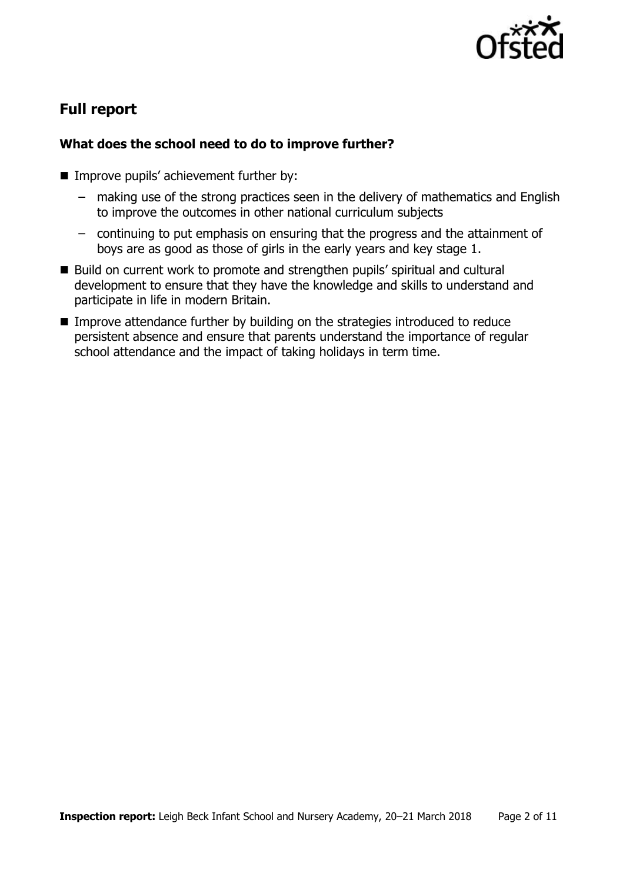

# **Full report**

### **What does the school need to do to improve further?**

- **IMPROVE pupils' achievement further by:** 
	- making use of the strong practices seen in the delivery of mathematics and English to improve the outcomes in other national curriculum subjects
	- continuing to put emphasis on ensuring that the progress and the attainment of boys are as good as those of girls in the early years and key stage 1.
- Build on current work to promote and strengthen pupils' spiritual and cultural development to ensure that they have the knowledge and skills to understand and participate in life in modern Britain.
- Improve attendance further by building on the strategies introduced to reduce persistent absence and ensure that parents understand the importance of regular school attendance and the impact of taking holidays in term time.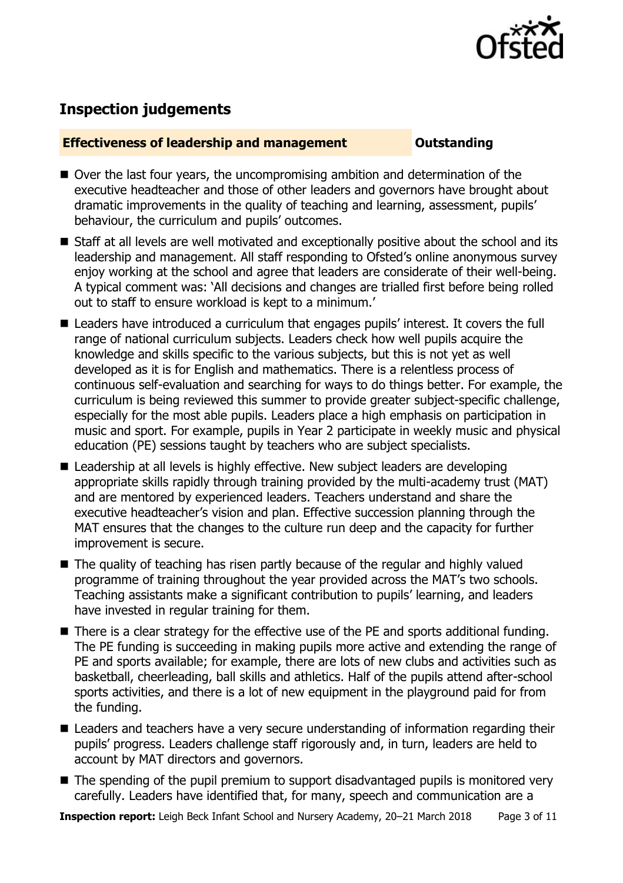

# **Inspection judgements**

#### **Effectiveness of leadership and management Constanding**

- Over the last four years, the uncompromising ambition and determination of the executive headteacher and those of other leaders and governors have brought about dramatic improvements in the quality of teaching and learning, assessment, pupils' behaviour, the curriculum and pupils' outcomes.
- Staff at all levels are well motivated and exceptionally positive about the school and its leadership and management. All staff responding to Ofsted's online anonymous survey enjoy working at the school and agree that leaders are considerate of their well-being. A typical comment was: 'All decisions and changes are trialled first before being rolled out to staff to ensure workload is kept to a minimum.'
- Leaders have introduced a curriculum that engages pupils' interest. It covers the full range of national curriculum subjects. Leaders check how well pupils acquire the knowledge and skills specific to the various subjects, but this is not yet as well developed as it is for English and mathematics. There is a relentless process of continuous self-evaluation and searching for ways to do things better. For example, the curriculum is being reviewed this summer to provide greater subject-specific challenge, especially for the most able pupils. Leaders place a high emphasis on participation in music and sport. For example, pupils in Year 2 participate in weekly music and physical education (PE) sessions taught by teachers who are subject specialists.
- Leadership at all levels is highly effective. New subject leaders are developing appropriate skills rapidly through training provided by the multi-academy trust (MAT) and are mentored by experienced leaders. Teachers understand and share the executive headteacher's vision and plan. Effective succession planning through the MAT ensures that the changes to the culture run deep and the capacity for further improvement is secure.
- The quality of teaching has risen partly because of the regular and highly valued programme of training throughout the year provided across the MAT's two schools. Teaching assistants make a significant contribution to pupils' learning, and leaders have invested in regular training for them.
- There is a clear strategy for the effective use of the PE and sports additional funding. The PE funding is succeeding in making pupils more active and extending the range of PE and sports available; for example, there are lots of new clubs and activities such as basketball, cheerleading, ball skills and athletics. Half of the pupils attend after-school sports activities, and there is a lot of new equipment in the playground paid for from the funding.
- Leaders and teachers have a very secure understanding of information regarding their pupils' progress. Leaders challenge staff rigorously and, in turn, leaders are held to account by MAT directors and governors.
- The spending of the pupil premium to support disadvantaged pupils is monitored very carefully. Leaders have identified that, for many, speech and communication are a

**Inspection report:** Leigh Beck Infant School and Nursery Academy, 20–21 March 2018 Page 3 of 11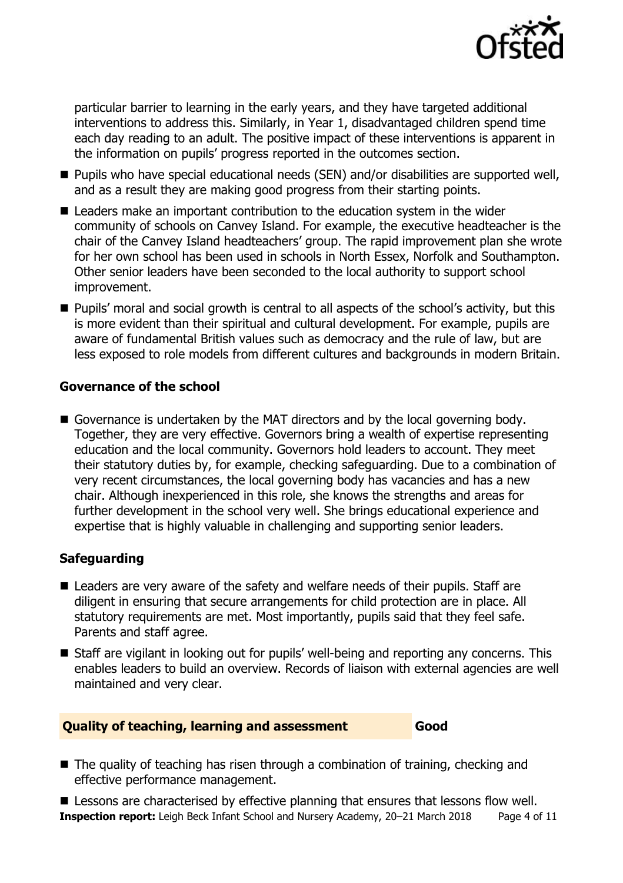

particular barrier to learning in the early years, and they have targeted additional interventions to address this. Similarly, in Year 1, disadvantaged children spend time each day reading to an adult. The positive impact of these interventions is apparent in the information on pupils' progress reported in the outcomes section.

- Pupils who have special educational needs (SEN) and/or disabilities are supported well, and as a result they are making good progress from their starting points.
- Leaders make an important contribution to the education system in the wider community of schools on Canvey Island. For example, the executive headteacher is the chair of the Canvey Island headteachers' group. The rapid improvement plan she wrote for her own school has been used in schools in North Essex, Norfolk and Southampton. Other senior leaders have been seconded to the local authority to support school improvement.
- **Pupils'** moral and social growth is central to all aspects of the school's activity, but this is more evident than their spiritual and cultural development. For example, pupils are aware of fundamental British values such as democracy and the rule of law, but are less exposed to role models from different cultures and backgrounds in modern Britain.

#### **Governance of the school**

Governance is undertaken by the MAT directors and by the local governing body. Together, they are very effective. Governors bring a wealth of expertise representing education and the local community. Governors hold leaders to account. They meet their statutory duties by, for example, checking safeguarding. Due to a combination of very recent circumstances, the local governing body has vacancies and has a new chair. Although inexperienced in this role, she knows the strengths and areas for further development in the school very well. She brings educational experience and expertise that is highly valuable in challenging and supporting senior leaders.

#### **Safeguarding**

- Leaders are very aware of the safety and welfare needs of their pupils. Staff are diligent in ensuring that secure arrangements for child protection are in place. All statutory requirements are met. Most importantly, pupils said that they feel safe. Parents and staff agree.
- Staff are vigilant in looking out for pupils' well-being and reporting any concerns. This enables leaders to build an overview. Records of liaison with external agencies are well maintained and very clear.

#### **Quality of teaching, learning and assessment Good**

- The quality of teaching has risen through a combination of training, checking and effective performance management.
- **Inspection report:** Leigh Beck Infant School and Nursery Academy, 20–21 March 2018 Page 4 of 11 **E** Lessons are characterised by effective planning that ensures that lessons flow well.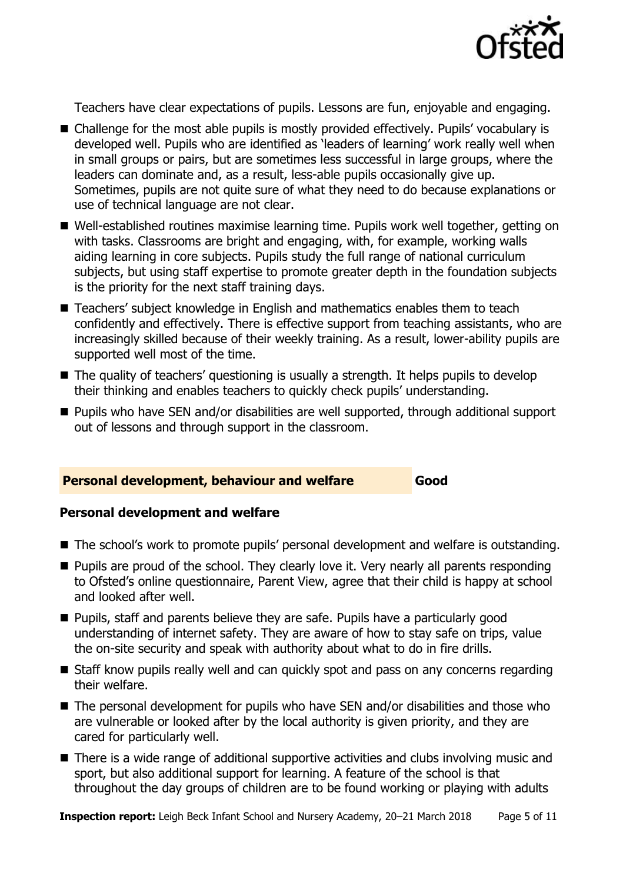

Teachers have clear expectations of pupils. Lessons are fun, enjoyable and engaging.

- Challenge for the most able pupils is mostly provided effectively. Pupils' vocabulary is developed well. Pupils who are identified as 'leaders of learning' work really well when in small groups or pairs, but are sometimes less successful in large groups, where the leaders can dominate and, as a result, less-able pupils occasionally give up. Sometimes, pupils are not quite sure of what they need to do because explanations or use of technical language are not clear.
- Well-established routines maximise learning time. Pupils work well together, getting on with tasks. Classrooms are bright and engaging, with, for example, working walls aiding learning in core subjects. Pupils study the full range of national curriculum subjects, but using staff expertise to promote greater depth in the foundation subjects is the priority for the next staff training days.
- Teachers' subject knowledge in English and mathematics enables them to teach confidently and effectively. There is effective support from teaching assistants, who are increasingly skilled because of their weekly training. As a result, lower-ability pupils are supported well most of the time.
- The quality of teachers' questioning is usually a strength. It helps pupils to develop their thinking and enables teachers to quickly check pupils' understanding.
- **Pupils who have SEN and/or disabilities are well supported, through additional support** out of lessons and through support in the classroom.

#### **Personal development, behaviour and welfare Good**

#### **Personal development and welfare**

- The school's work to promote pupils' personal development and welfare is outstanding.
- **Pupils are proud of the school. They clearly love it. Very nearly all parents responding** to Ofsted's online questionnaire, Parent View, agree that their child is happy at school and looked after well.
- **Pupils, staff and parents believe they are safe. Pupils have a particularly good** understanding of internet safety. They are aware of how to stay safe on trips, value the on-site security and speak with authority about what to do in fire drills.
- Staff know pupils really well and can quickly spot and pass on any concerns regarding their welfare.
- The personal development for pupils who have SEN and/or disabilities and those who are vulnerable or looked after by the local authority is given priority, and they are cared for particularly well.
- There is a wide range of additional supportive activities and clubs involving music and sport, but also additional support for learning. A feature of the school is that throughout the day groups of children are to be found working or playing with adults

**Inspection report:** Leigh Beck Infant School and Nursery Academy, 20–21 March 2018 Page 5 of 11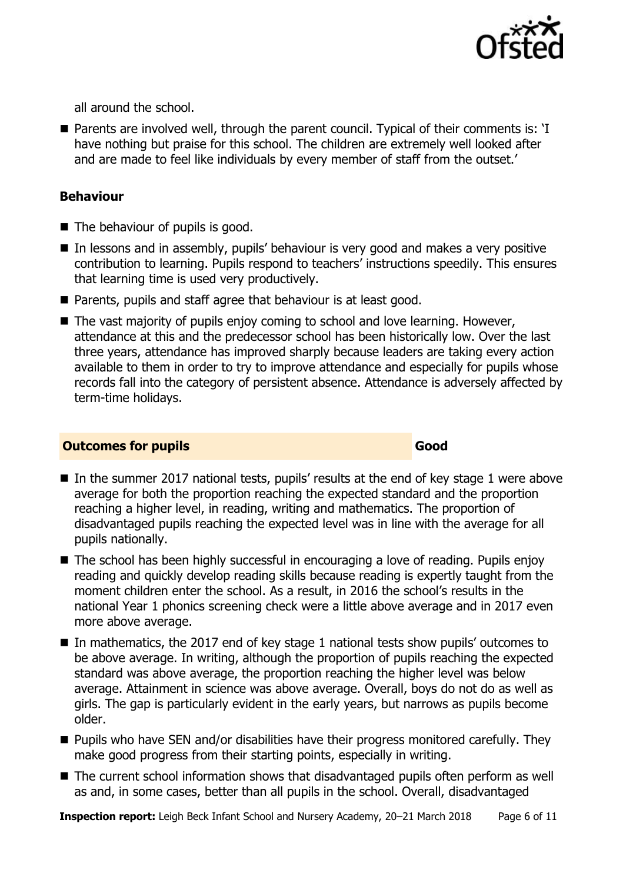

all around the school.

■ Parents are involved well, through the parent council. Typical of their comments is: 'I have nothing but praise for this school. The children are extremely well looked after and are made to feel like individuals by every member of staff from the outset.'

#### **Behaviour**

- The behaviour of pupils is good.
- In lessons and in assembly, pupils' behaviour is very good and makes a very positive contribution to learning. Pupils respond to teachers' instructions speedily. This ensures that learning time is used very productively.
- **Parents, pupils and staff agree that behaviour is at least good.**
- The vast majority of pupils enjoy coming to school and love learning. However, attendance at this and the predecessor school has been historically low. Over the last three years, attendance has improved sharply because leaders are taking every action available to them in order to try to improve attendance and especially for pupils whose records fall into the category of persistent absence. Attendance is adversely affected by term-time holidays.

#### **Outcomes for pupils Good**

- In the summer 2017 national tests, pupils' results at the end of key stage 1 were above average for both the proportion reaching the expected standard and the proportion reaching a higher level, in reading, writing and mathematics. The proportion of disadvantaged pupils reaching the expected level was in line with the average for all pupils nationally.
- The school has been highly successful in encouraging a love of reading. Pupils enjoy reading and quickly develop reading skills because reading is expertly taught from the moment children enter the school. As a result, in 2016 the school's results in the national Year 1 phonics screening check were a little above average and in 2017 even more above average.
- In mathematics, the 2017 end of key stage 1 national tests show pupils' outcomes to be above average. In writing, although the proportion of pupils reaching the expected standard was above average, the proportion reaching the higher level was below average. Attainment in science was above average. Overall, boys do not do as well as girls. The gap is particularly evident in the early years, but narrows as pupils become older.
- $\blacksquare$  Pupils who have SEN and/or disabilities have their progress monitored carefully. They make good progress from their starting points, especially in writing.
- The current school information shows that disadvantaged pupils often perform as well as and, in some cases, better than all pupils in the school. Overall, disadvantaged

**Inspection report:** Leigh Beck Infant School and Nursery Academy, 20-21 March 2018 Page 6 of 11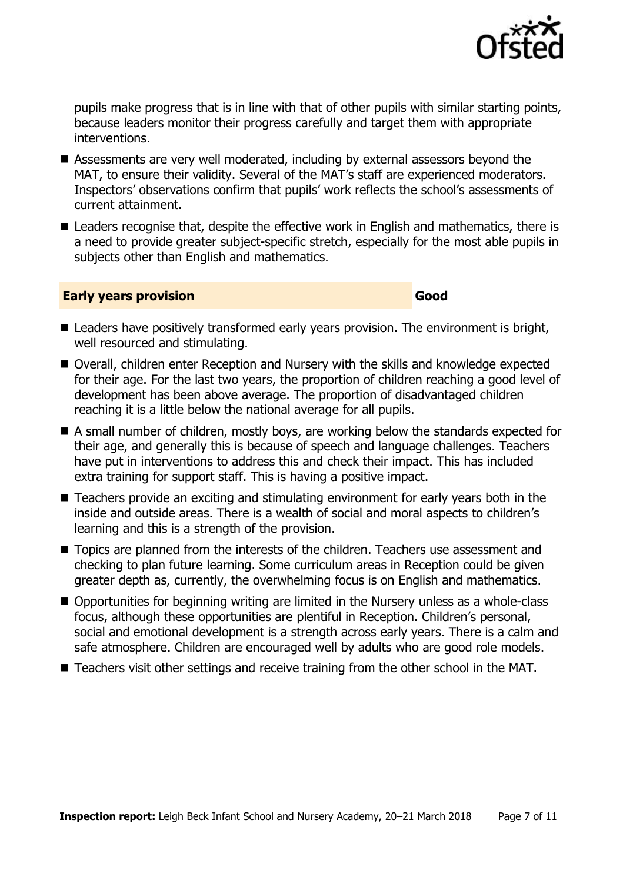

pupils make progress that is in line with that of other pupils with similar starting points, because leaders monitor their progress carefully and target them with appropriate interventions.

- Assessments are very well moderated, including by external assessors beyond the MAT, to ensure their validity. Several of the MAT's staff are experienced moderators. Inspectors' observations confirm that pupils' work reflects the school's assessments of current attainment.
- Leaders recognise that, despite the effective work in English and mathematics, there is a need to provide greater subject-specific stretch, especially for the most able pupils in subjects other than English and mathematics.

#### **Early years provision Good Good**

- Leaders have positively transformed early years provision. The environment is bright, well resourced and stimulating.
- Overall, children enter Reception and Nursery with the skills and knowledge expected for their age. For the last two years, the proportion of children reaching a good level of development has been above average. The proportion of disadvantaged children reaching it is a little below the national average for all pupils.
- A small number of children, mostly boys, are working below the standards expected for their age, and generally this is because of speech and language challenges. Teachers have put in interventions to address this and check their impact. This has included extra training for support staff. This is having a positive impact.
- Teachers provide an exciting and stimulating environment for early years both in the inside and outside areas. There is a wealth of social and moral aspects to children's learning and this is a strength of the provision.
- Topics are planned from the interests of the children. Teachers use assessment and checking to plan future learning. Some curriculum areas in Reception could be given greater depth as, currently, the overwhelming focus is on English and mathematics.
- Opportunities for beginning writing are limited in the Nursery unless as a whole-class focus, although these opportunities are plentiful in Reception. Children's personal, social and emotional development is a strength across early years. There is a calm and safe atmosphere. Children are encouraged well by adults who are good role models.
- Teachers visit other settings and receive training from the other school in the MAT.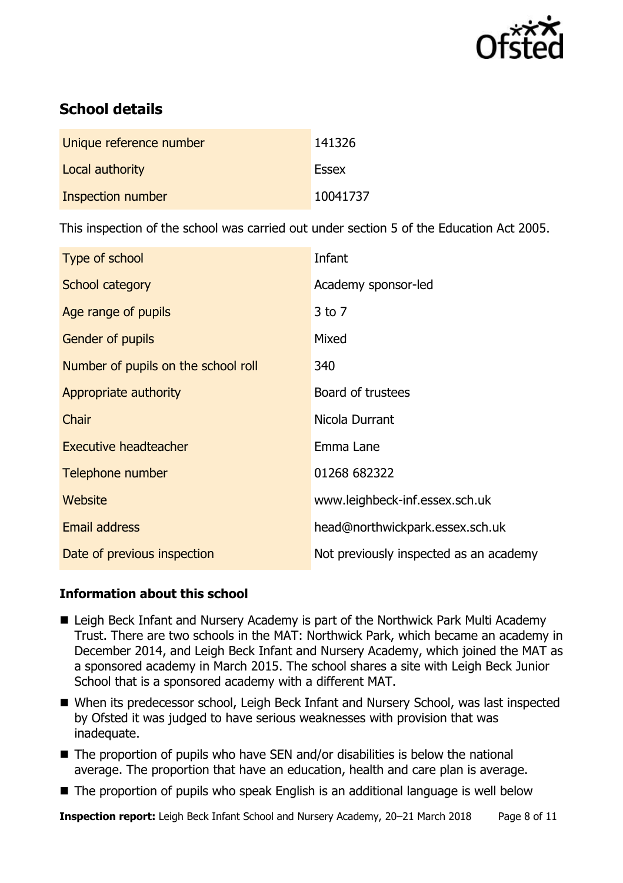

# **School details**

| Unique reference number | 141326   |
|-------------------------|----------|
| Local authority         | Essex    |
| Inspection number       | 10041737 |

This inspection of the school was carried out under section 5 of the Education Act 2005.

| Type of school                      | Infant                                 |
|-------------------------------------|----------------------------------------|
| School category                     | Academy sponsor-led                    |
| Age range of pupils                 | $3$ to $7$                             |
| Gender of pupils                    | Mixed                                  |
| Number of pupils on the school roll | 340                                    |
| Appropriate authority               | Board of trustees                      |
| Chair                               | Nicola Durrant                         |
| <b>Executive headteacher</b>        | Emma Lane                              |
| Telephone number                    | 01268 682322                           |
| Website                             | www.leighbeck-inf.essex.sch.uk         |
| <b>Email address</b>                | head@northwickpark.essex.sch.uk        |
| Date of previous inspection         | Not previously inspected as an academy |

#### **Information about this school**

- Leigh Beck Infant and Nursery Academy is part of the Northwick Park Multi Academy Trust. There are two schools in the MAT: Northwick Park, which became an academy in December 2014, and Leigh Beck Infant and Nursery Academy, which joined the MAT as a sponsored academy in March 2015. The school shares a site with Leigh Beck Junior School that is a sponsored academy with a different MAT.
- When its predecessor school, Leigh Beck Infant and Nursery School, was last inspected by Ofsted it was judged to have serious weaknesses with provision that was inadequate.
- $\blacksquare$  The proportion of pupils who have SEN and/or disabilities is below the national average. The proportion that have an education, health and care plan is average.
- The proportion of pupils who speak English is an additional language is well below

**Inspection report:** Leigh Beck Infant School and Nursery Academy, 20–21 March 2018 Page 8 of 11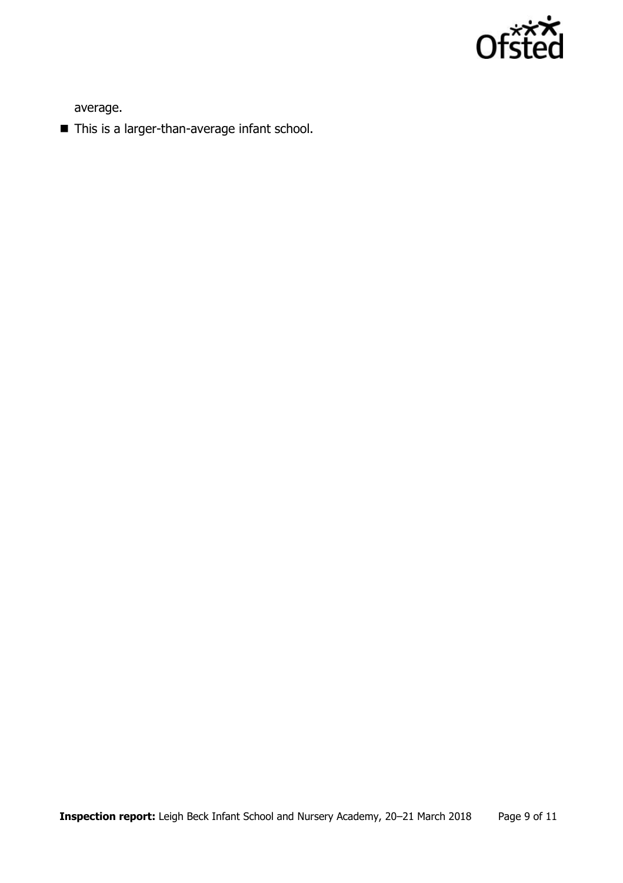

average.

■ This is a larger-than-average infant school.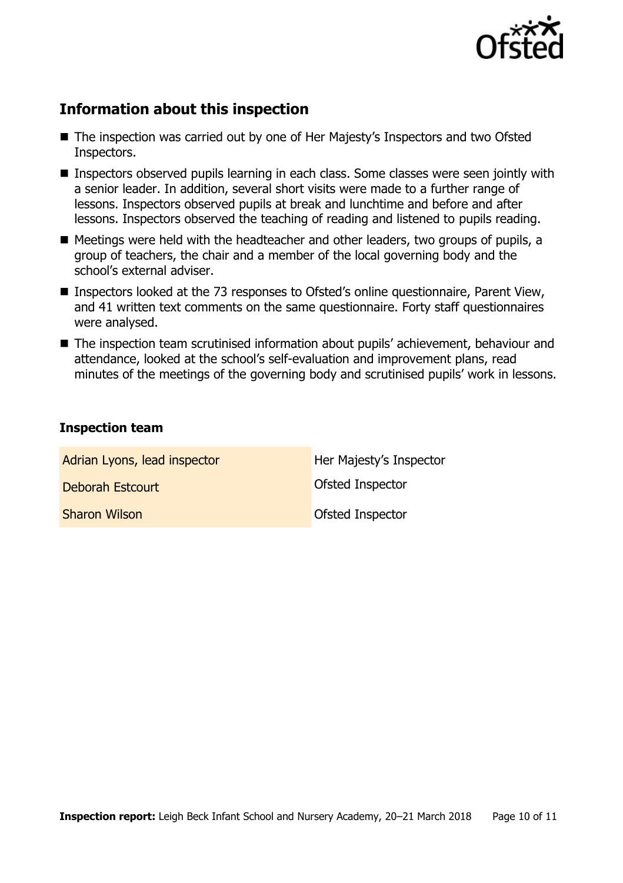

# **Information about this inspection**

- The inspection was carried out by one of Her Majesty's Inspectors and two Ofsted Inspectors.
- Inspectors observed pupils learning in each class. Some classes were seen jointly with a senior leader. In addition, several short visits were made to a further range of lessons. Inspectors observed pupils at break and lunchtime and before and after lessons. Inspectors observed the teaching of reading and listened to pupils reading.
- Meetings were held with the headteacher and other leaders, two groups of pupils, a group of teachers, the chair and a member of the local governing body and the school's external adviser.
- Inspectors looked at the 73 responses to Ofsted's online questionnaire, Parent View, and 41 written text comments on the same questionnaire. Forty staff questionnaires were analysed.
- The inspection team scrutinised information about pupils' achievement, behaviour and attendance, looked at the school's self-evaluation and improvement plans, read minutes of the meetings of the governing body and scrutinised pupils' work in lessons.

#### **Inspection team**

| Adrian Lyons, lead inspector | Her Majesty's Inspector |
|------------------------------|-------------------------|
| Deborah Estcourt             | Ofsted Inspector        |
| <b>Sharon Wilson</b>         | Ofsted Inspector        |